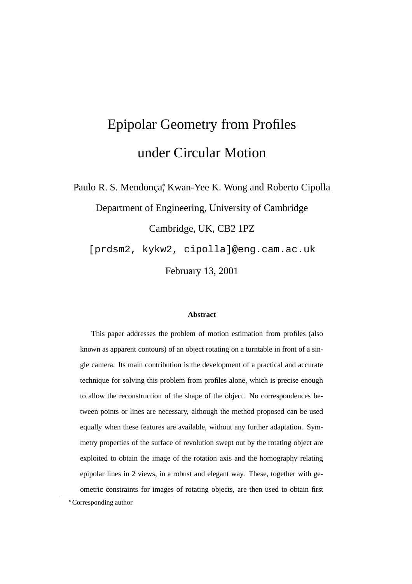# Epipolar Geometry from Profiles under Circular Motion

Paulo R. S. Mendonça, Kwan-Yee K. Wong and Roberto Cipolla Department of Engineering, University of Cambridge Cambridge, UK, CB2 1PZ [prdsm2, kykw2, cipolla]@eng.cam.ac.uk

February 13, 2001

#### **Abstract**

This paper addresses the problem of motion estimation from profiles (also known as apparent contours) of an object rotating on a turntable in front of a single camera. Its main contribution is the development of a practical and accurate technique for solving this problem from profiles alone, which is precise enough to allow the reconstruction of the shape of the object. No correspondences between points or lines are necessary, although the method proposed can be used equally when these features are available, without any further adaptation. Symmetry properties of the surface of revolution swept out by the rotating object are exploited to obtain the image of the rotation axis and the homography relating epipolar lines in 2 views, in a robust and elegant way. These, together with geometric constraints for images of rotating objects, are then used to obtain first

Corresponding author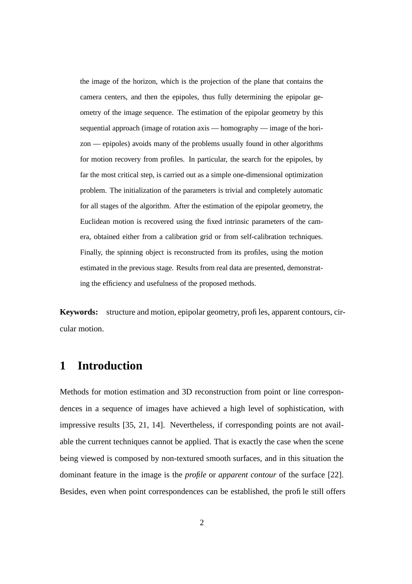the image of the horizon, which is the projection of the plane that contains the camera centers, and then the epipoles, thus fully determining the epipolar geometry of the image sequence. The estimation of the epipolar geometry by this sequential approach (image of rotation axis — homography — image of the horizon — epipoles) avoids many of the problems usually found in other algorithms for motion recovery from profiles. In particular, the search for the epipoles, by far the most critical step, is carried out as a simple one-dimensional optimization problem. The initialization of the parameters is trivial and completely automatic for all stages of the algorithm. After the estimation of the epipolar geometry, the Euclidean motion is recovered using the fixed intrinsic parameters of the camera, obtained either from a calibration grid or from self-calibration techniques. Finally, the spinning object is reconstructed from its profiles, using the motion estimated in the previous stage. Results from real data are presented, demonstrating the efficiency and usefulness of the proposed methods.

**Keywords:** structure and motion, epipolar geometry, profiles, apparent contours, circular motion.

## **1 Introduction**

Methods for motion estimation and 3D reconstruction from point or line correspondences in a sequence of images have achieved a high level of sophistication, with impressive results [35, 21, 14]. Nevertheless, if corresponding points are not available the current techniques cannot be applied. That is exactly the case when the scene being viewed is composed by non-textured smooth surfaces, and in this situation the dominant feature in the image is the *profile* or *apparent contour* of the surface [22]. Besides, even when point correspondences can be established, the profile still offers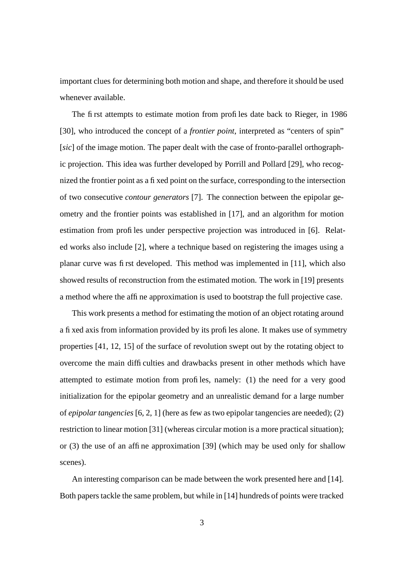important clues for determining both motion and shape, and therefore it should be used whenever available.

The first attempts to estimate motion from profiles date back to Rieger, in 1986 [30], who introduced the concept of a *frontier point*, interpreted as "centers of spin" [*sic*] of the image motion. The paper dealt with the case of fronto-parallel orthographic projection. This idea was further developed by Porrill and Pollard [29], who recognized the frontier point as a fixed point on the surface, corresponding to the intersection of two consecutive *contour generators* [7]. The connection between the epipolar geometry and the frontier points was established in [17], and an algorithm for motion estimation from profiles under perspective projection was introduced in [6]. Related works also include [2], where a technique based on registering the images using a planar curve was first developed. This method was implemented in [11], which also showed results of reconstruction from the estimated motion. The work in [19] presents a method where the affine approximation is used to bootstrap the full projective case.

This work presents a method for estimating the motion of an object rotating around a fixed axis from information provided by its profiles alone. It makes use of symmetry properties [41, 12, 15] of the surface of revolution swept out by the rotating object to overcome the main difficulties and drawbacks present in other methods which have attempted to estimate motion from profiles, namely: (1) the need for a very good initialization for the epipolar geometry and an unrealistic demand for a large number of *epipolartangencies* [6, 2, 1] (here as few as two epipolar tangencies are needed); (2) restriction to linear motion [31] (whereas circular motion is a more practical situation); or (3) the use of an affine approximation [39] (which may be used only for shallow scenes).

An interesting comparison can be made between the work presented here and [14]. Both papers tackle the same problem, but while in [14] hundreds of points were tracked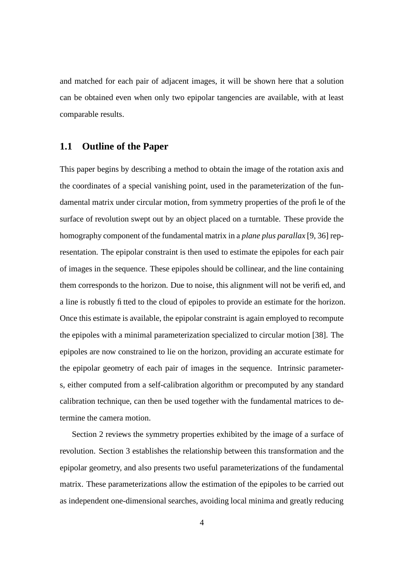and matched for each pair of adjacent images, it will be shown here that a solution can be obtained even when only two epipolar tangencies are available, with at least comparable results.

#### **1.1 Outline of the Paper**

This paper begins by describing a method to obtain the image of the rotation axis and the coordinates of a special vanishing point, used in the parameterization of the fundamental matrix under circular motion, from symmetry properties of the profile of the surface of revolution swept out by an object placed on a turntable. These provide the homography component of the fundamental matrix in a *plane plus parallax* [9, 36] representation. The epipolar constraint is then used to estimate the epipoles for each pair of images in the sequence. These epipoles should be collinear, and the line containing them corresponds to the horizon. Due to noise, this alignment will not be verified, and a line is robustly fitted to the cloud of epipoles to provide an estimate for the horizon. Once this estimate is available, the epipolar constraint is again employed to recompute the epipoles with a minimal parameterization specialized to circular motion [38]. The epipoles are now constrained to lie on the horizon, providing an accurate estimate for the epipolar geometry of each pair of images in the sequence. Intrinsic parameters, either computed from a self-calibration algorithm or precomputed by any standard calibration technique, can then be used together with the fundamental matrices to determine the camera motion.

Section 2 reviews the symmetry properties exhibited by the image of a surface of revolution. Section 3 establishes the relationship between this transformation and the epipolar geometry, and also presents two useful parameterizations of the fundamental matrix. These parameterizations allow the estimation of the epipoles to be carried out as independent one-dimensional searches, avoiding local minima and greatly reducing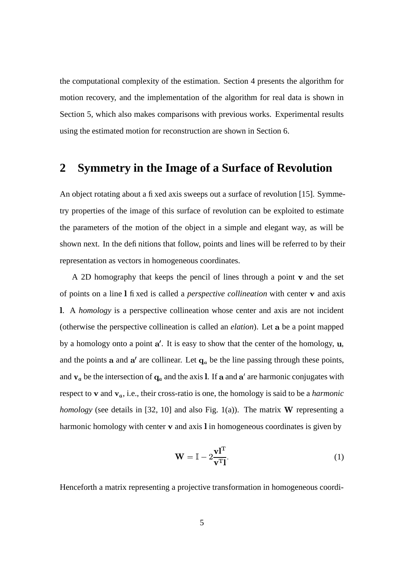the computational complexity of the estimation. Section 4 presents the algorithm for motion recovery, and the implementation of the algorithm for real data is shown in Section 5, which also makes comparisons with previous works. Experimental results using the estimated motion for reconstruction are shown in Section 6.

## **2 Symmetry in the Image of a Surface of Revolution**

An object rotating about a fixed axis sweeps out a surface of revolution [15]. Symmetry properties of the image of this surface of revolution can be exploited to estimate the parameters of the motion of the object in a simple and elegant way, as will be shown next. In the definitions that follow, points and lines will be referred to by their representation as vectors in homogeneous coordinates.

A 2D homography that keeps the pencil of lines through a point  $\bf{v}$  and the set of points on a line 1 fixed is called a *perspective collineation* with center **v** and axis . A *homology* is a perspective collineation whose center and axis are not incident (otherwise the perspective collineation is called an *elation*). Let a be a point mapped by a homology onto a point  $a'$ . It is easy to show that the center of the homology,  $u$ , and the points a and  $a'$  are collinear. Let  $q_a$  be the line passing through these points, and  ${\bf v}_a$  be the intersection of  ${\bf q}_a$  and the axis l. If  ${\bf a}$  and  ${\bf a}'$  are harmonic conjugates with respect to  $\bf{v}$  and  $\bf{v}_a$ , i.e., their cross-ratio is one, the homology is said to be a *harmonic homology* (see details in [32, 10] and also Fig.  $1(a)$ ). The matrix **W** representing a harmonic homology with center  $\bf{v}$  and axis  $\bf{l}$  in homogeneous coordinates is given by

$$
\mathbf{W} = \mathbb{I} - 2\frac{\mathbf{v}\mathbf{l}^{\mathrm{T}}}{\mathbf{v}^{\mathrm{T}}\mathbf{l}}.\tag{1}
$$

Henceforth a matrix representing a projective transformation in homogeneous coordi-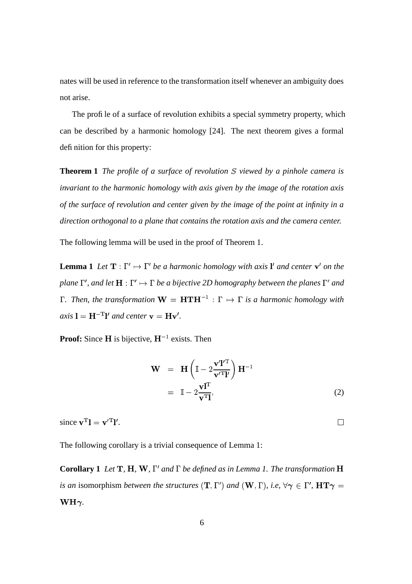nates will be used in reference to the transformation itself whenever an ambiguity does not arise.

The profile of a surface of revolution exhibits a special symmetry property, which can be described by a harmonic homology [24]. The next theorem gives a formal definition for this property:

**Theorem 1** *The profile of a surface of revolution viewed by apinhole camera is invariant to the harmonic homology with axis given by the image of the rotation axis of the surface of revolution and center given by the image of the point at infinity in a direction orthogonal to a plane that contains the rotation axis and the camera center.*

The following lemma will be used in the proof of Theorem 1.

**Lemma 1** Let  $\mathbf{T}: \Gamma' \mapsto \Gamma'$  be a harmonic homology with axis I' and center  $\mathbf{v}'$  on the plane  $\Gamma'$ , and let  $\mathbf{H}:\Gamma'\mapsto\Gamma$  be a bijective 2D homography between the planes  $\Gamma'$  and  $\Gamma$ . Then, the transformation  $\mathbf{W} = \mathbf{HTH}^{-1} : \Gamma \mapsto \Gamma$  is a harmonic homology with  $axis$   $\mathbf{l} = \mathbf{H}^{-T}\mathbf{l}'$  and center  $\mathbf{v} = \mathbf{H}\mathbf{v}'$ .

**Proof:** Since **H** is bijective,  $H^{-1}$  exists. Then

$$
\mathbf{W} = \mathbf{H} \left( \mathbb{I} - 2 \frac{\mathbf{v}' \mathbf{I}^{\prime \mathrm{T}}}{\mathbf{v}'^{\mathrm{T}} \mathbf{I}'} \right) \mathbf{H}^{-1}
$$

$$
= \mathbb{I} - 2 \frac{\mathbf{v} \mathbf{I}^{\mathrm{T}}}{\mathbf{v}^{\mathrm{T}} \mathbf{I}}, \tag{2}
$$

since  $\mathbf{v}^{\mathrm{T}}\mathbf{l} = \mathbf{v}'^{\mathrm{T}}\mathbf{l}'.$ . The contract of the contract of the contract of  $\Box$  . The contract of the contract of the contract of the contract of the contract of the contract of the contract of the contract of the contract of the contract of the

The following corollary is a trivial consequence of Lemma 1:

**Corollary** 1 *Let* **T**, **H**, **W**,  $\Gamma'$  and  $\Gamma$  *be defined as in Lemma 1. The transformation* **H** *is* an isomorphism *between the structures*  $(T, \Gamma')$  and  $(W, \Gamma)$ , *i.e,*  $\forall \gamma \in \Gamma'$ ,  $HT\gamma =$  $\mathbf{WH}\gamma.$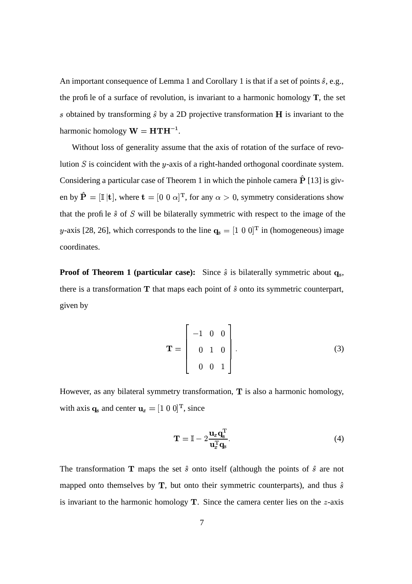An important consequence of Lemma 1 and Corollary 1 is that if a set of points  $\hat{s}$ , e.g., the profile of a surface of revolution, is invariant to a harmonic homology **T**, the set s obtained by transforming  $\hat{s}$  by a 2D projective transformation **H** is invariant to the harmonic homology  $\mathbf{W} = \mathbf{HTH}^{-1}$ .

Without loss of generality assume that the axis of rotation of the surface of revolution  $S$  is coincident with the  $y$ -axis of a right-handed orthogonal coordinate system. Considering a particular case of Theorem 1 in which the pinhole camera  $P$  [13] is given by  $\mathbf{P} = [\mathbb{I} | \mathbf{t}]$ , where  $\mathbf{t} = [0 \ 0 \ \alpha]^T$ , for any  $\alpha > 0$ , symmetry considerations show that the profile  $\hat{s}$  of  $S$  will be bilaterally symmetric with respect to the image of the y-axis [28, 26], which corresponds to the line  $q_s = [1 \ 0 \ 0]^T$  in (homogeneous) image coordinates.

**Proof** of Theorem 1 (particular case): Since  $\hat{s}$  is bilaterally symmetric about  $q_s$ , there is a transformation  $T$  that maps each point of  $\hat{s}$  onto its symmetric counterpart, given by

$$
\mathbf{T} = \begin{bmatrix} -1 & 0 & 0 \\ 0 & 1 & 0 \\ 0 & 0 & 1 \end{bmatrix}.
$$
 (3)

However, as any bilateral symmetry transformation,  $T$  is also a harmonic homology, with axis  $\mathbf{q}_s$  and center  $\mathbf{u}_x = [1 \ 0 \ 0]^T$ , since

$$
\mathbf{T} = \mathbb{I} - 2\frac{\mathbf{u}_x \mathbf{q}_s^{\mathrm{T}}}{\mathbf{u}_x^{\mathrm{T}} \mathbf{q}_s}.
$$
 (4)

The transformation **T** maps the set  $\hat{s}$  onto itself (although the points of  $\hat{s}$  are not mapped onto themselves by T, but onto their symmetric counterparts), and thus  $\hat{s}$ is invariant to the harmonic homology  $T$ . Since the camera center lies on the  $z$ -axis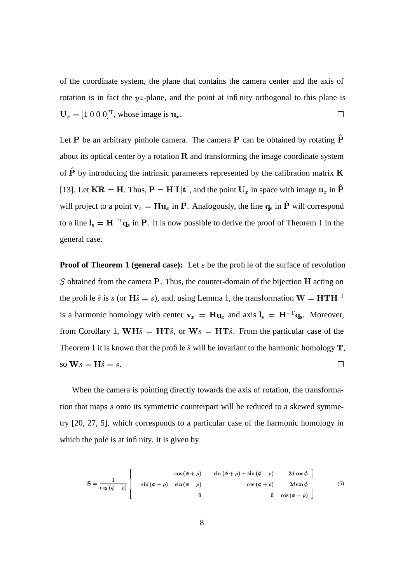of the coordinate system, the plane that contains the camera center and the axis of rotation is in fact the  $yz$ -plane, and the point at infinity orthogonal to this plane is  $\mathbf{U}_x = [1 \ 0 \ 0 \ 0]^{\mathrm{T}}$ , whose image is  $\mathbf{u}_x$ .

Let  $P$  be an arbitrary pinhole camera. The camera  $P$  can be obtained by rotating  $P$ about its optical center by a rotation  **and transforming the image coordinate system** of P by introducing the intrinsic parameters represented by the calibration matrix [13]. Let  $KR = H$ . Thus,  $P = H[I|t]$ , and the point  $U_x$  in space with image  $u_x$  in  $\dot{P}$ will project to a point  $v_x = Hu_x$  in P. Analogously, the line  $q_s$  in P will correspond to a line  $\mathbf{l}_s = \mathbf{H}^{-T} \mathbf{q}_s$  in P. It is now possible to derive the proof of Theorem 1 in the general case.

**Proof of Theorem 1 (general case):** Let s be the profile of the surface of revolution S obtained from the camera P. Thus, the counter-domain of the bijection  $H$  acting on the profile  $\hat{s}$  is s (or  $H\hat{s} = s$ ), and, using Lemma 1, the transformation  $W = HTH^{-1}$ is a harmonic homology with center  ${\bf v}_x = {\bf H}{\bf u}_x$  and axis  ${\bf l}_s = {\bf H}^{-T}{\bf q}_s$ . Moreover, from Corollary 1,  $WH\hat{s} = HT\hat{s}$ , or  $Ws = HT\hat{s}$ . From the particular case of the Theorem 1 it is known that the profile  $\hat{s}$  will be invariant to the harmonic homology **T**, so  $\mathbf{W}\mathbf{s} = \mathbf{H}\hat{\mathbf{s}} = \mathbf{s}$ . .

When the camera is pointing directly towards the axis of rotation, the transformation that maps s onto its symmetric counterpart will be reduced to a skewed symmetry [20, 27, 5], which corresponds to a particular case of the harmonic homology in which the pole is at infinity. It is given by

$$
\mathbf{S} = \frac{1}{\cos(\phi - \rho)} \begin{bmatrix} -\cos(\phi + \rho) & -\sin(\phi + \rho) + \sin(\phi - \rho) & 2d\cos\phi \\ -\sin(\phi + \rho) - \sin(\phi - \rho) & \cos(\phi + \rho) & 2d\sin\phi \\ 0 & 0 & \cos(\phi - \rho) \end{bmatrix}
$$
(5)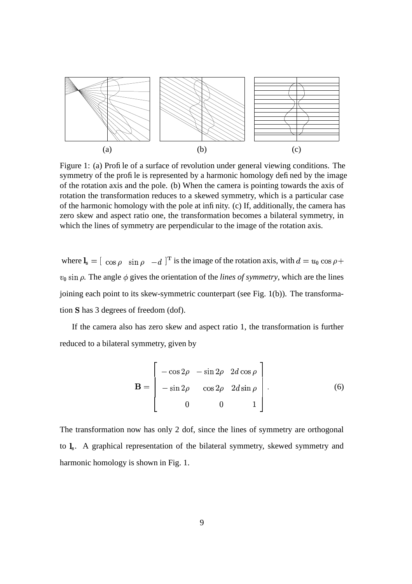

Figure 1: (a) Profile of a surface of revolution under general viewing conditions. The symmetry of the profile is represented by a harmonic homology defined by the image of the rotation axis and the pole. (b) When the camera is pointing towards the axis of rotation the transformation reduces to a skewed symmetry, which is a particular case of the harmonic homology with the pole at infinity. (c) If, additionally, the camera has zero skew and aspect ratio one, the transformation becomes a bilateral symmetry, in which the lines of symmetry are perpendicular to the image of the rotation axis.

where  $I_s = [\cos \rho \sin \rho - d]^T$  is the image of the rotation axis, with  $d = u_0 \cos \rho +$  $v_0$  sin  $\rho$ . The angle  $\phi$  gives the orientation of the *lines of symmetry*, which are the lines joining each point to its skew-symmetric counterpart (see Fig. 1(b)). The transformation **S** has 3 degrees of freedom (dof).

If the camera also has zero skew and aspect ratio 1, the transformation is further reduced to a bilateral symmetry, given by

$$
\mathbf{B} = \begin{bmatrix} -\cos 2\rho & -\sin 2\rho & 2d\cos \rho \\ -\sin 2\rho & \cos 2\rho & 2d\sin \rho \\ 0 & 0 & 1 \end{bmatrix} .
$$
 (6)

The transformation now has only 2 dof, since the lines of symmetry are orthogonal to l<sub>s</sub>. A graphical representation of the bilateral symmetry, skewed symmetry and harmonic homology is shown in Fig. 1.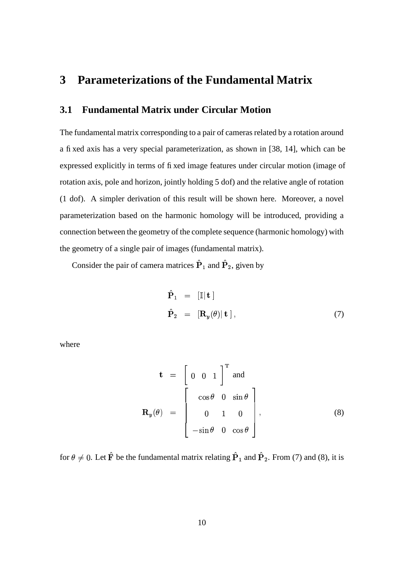## **3 Parameterizations of the Fundamental Matrix**

#### **3.1 Fundamental Matrix under Circular Motion**

The fundamental matrix corresponding to a pair of cameras related by a rotation around a fixed axis has a very special parameterization, as shown in [38, 14], which can be expressed explicitly in terms of fixed image features under circular motion (image of rotation axis, pole and horizon, jointly holding 5 dof) and the relative angle of rotation (1 dof). A simpler derivation of this result will be shown here. Moreover, a novel parameterization based on the harmonic homology will be introduced, providing a connection between the geometry of the complete sequence (harmonic homology) with the geometry of a single pair of images (fundamental matrix).

Consider the pair of camera matrices  $P_1$  and  $P_2$ , given by

$$
\hat{\mathbf{P}}_1 = [\mathbb{I}|\mathbf{t}]
$$
\n
$$
\hat{\mathbf{P}}_2 = [\mathbf{R}_y(\theta)|\mathbf{t}], \qquad (7)
$$

where

$$
\mathbf{t} = \begin{bmatrix} 0 & 0 & 1 \end{bmatrix}^{\mathrm{T}} \text{ and}
$$

$$
\mathbf{R}_y(\theta) = \begin{bmatrix} \cos \theta & 0 & \sin \theta \\ 0 & 1 & 0 \\ -\sin \theta & 0 & \cos \theta \end{bmatrix}, \tag{8}
$$

for  $\theta \neq 0$ . Let **F** be the fundamental matrix relating  $P_1$  and  $P_2$ . From (7) and (8), it is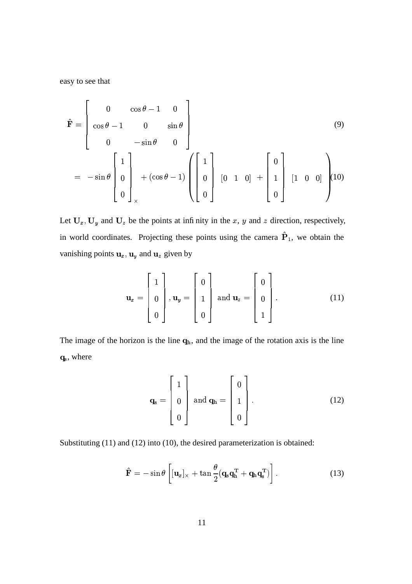easy to see that

$$
\hat{\mathbf{F}} = \begin{bmatrix}\n0 & \cos \theta - 1 & 0 \\
\cos \theta - 1 & 0 & \sin \theta \\
0 & -\sin \theta & 0\n\end{bmatrix}
$$
\n(9)\n
$$
= -\sin \theta \begin{bmatrix}\n1 \\
0 \\
0 \\
0\n\end{bmatrix} + (\cos \theta - 1) \begin{bmatrix}\n1 \\
0 \\
0 \\
0\n\end{bmatrix} \begin{bmatrix}\n1 \\
0 & 1 & 0\n\end{bmatrix} + \begin{bmatrix}\n0 \\
1 \\
0 \\
0\n\end{bmatrix} \begin{bmatrix}\n1 & 0 & 0\n\end{bmatrix} \begin{bmatrix}\n10 \\
0 \\
0\n\end{bmatrix}
$$

Let  $U_x$ ,  $U_y$  and  $U_z$  be the points at infinity in the x, y and z direction, respectively, in world coordinates. Projecting these points using the camera  $\mathbf{P}_1$ , we obtain the vanishing points  $\mathbf{u}_x$ ,  $\mathbf{u}_y$  and  $\mathbf{u}_z$  given by

$$
\mathbf{u}_x = \begin{bmatrix} 1 \\ 0 \\ 0 \end{bmatrix}, \mathbf{u}_y = \begin{bmatrix} 0 \\ 1 \\ 0 \end{bmatrix} \text{ and } \mathbf{u}_z = \begin{bmatrix} 0 \\ 0 \\ 1 \end{bmatrix}.
$$
 (11)

The image of the horizon is the line  $q<sub>h</sub>$ , and the image of the rotation axis is the line  $\mathbf{q}_s$ , where

$$
\mathbf{q}_s = \begin{bmatrix} 1 \\ 0 \\ 0 \end{bmatrix} \text{ and } \mathbf{q}_h = \begin{bmatrix} 0 \\ 1 \\ 0 \end{bmatrix}.
$$
 (12)

Substituting (11) and (12) into (10), the desired parameterization is obtained:

$$
\hat{\mathbf{F}} = -\sin\theta \left[ [\mathbf{u}_x]_{\times} + \tan\frac{\theta}{2} (\mathbf{q}_s \mathbf{q}_h^{\mathrm{T}} + \mathbf{q}_h \mathbf{q}_s^{\mathrm{T}}) \right]. \tag{13}
$$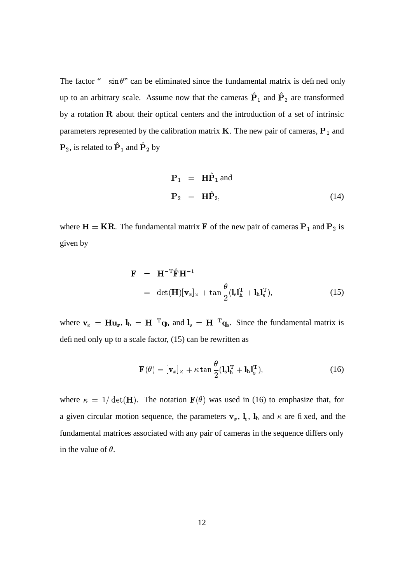The factor " $-\sin \theta$ " can be eliminated since the fundamental matrix is defined only up to an arbitrary scale. Assume now that the cameras  $P_1$  and  $P_2$  are transformed by a rotation  **about their optical centers and the introduction of a set of intrinsic** parameters represented by the calibration matrix **K**. The new pair of cameras,  $P_1$  and  $P_2$ , is related to  $P_1$  and  $P_2$  by

$$
\mathbf{P}_1 = \mathbf{H}\mathbf{P}_1 \text{ and}
$$
  

$$
\mathbf{P}_2 = \mathbf{H}\mathbf{\hat{P}}_2,
$$
 (14)

where  $H = KR$ . The fundamental matrix F of the new pair of cameras  $P_1$  and  $P_2$  is given by

$$
\mathbf{F} = \mathbf{H}^{-T} \hat{\mathbf{F}} \mathbf{H}^{-1}
$$
  
= det( $\mathbf{H}$ )[ $\mathbf{v}_x$ ]<sub>x</sub> + tan  $\frac{\theta}{2}$ ( $\mathbf{l}_s \mathbf{l}_h^T + \mathbf{l}_h \mathbf{l}_s^T$ ), (15)

where  ${\bf v}_x = {\bf H} {\bf u}_x$ ,  ${\bf l}_h = {\bf H}^{-T} {\bf q}_h$  and  ${\bf l}_s = {\bf H}^{-T} {\bf q}_s$ . Since the fundamental matrix is defined only up to a scale factor, (15) can be rewritten as

$$
\mathbf{F}(\theta) = [\mathbf{v}_x]_{\times} + \kappa \tan \frac{\theta}{2} (\mathbf{l}_s \mathbf{l}_h^{\mathrm{T}} + \mathbf{l}_h \mathbf{l}_s^{\mathrm{T}}), \qquad (16)
$$

where  $\kappa = 1/\det(\mathbf{H})$ . The notation  $\mathbf{F}(\theta)$  was used in (16) to emphasize that, for a given circular motion sequence, the parameters  $v_x$ ,  $l_s$ ,  $l_h$  and  $\kappa$  are fixed, and the fundamental matrices associated with any pair of cameras in the sequence differs only in the value of  $\theta$ .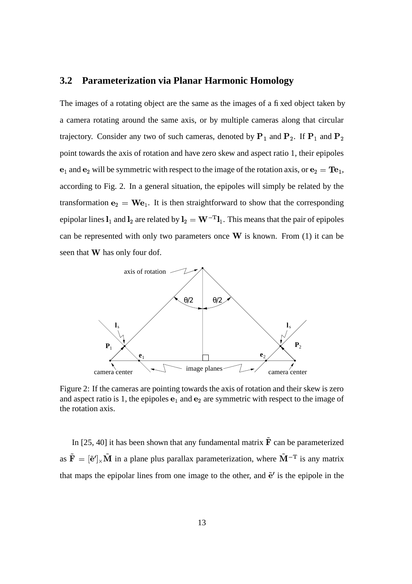#### **3.2 Parameterization via Planar Harmonic Homology**

The images of a rotating object are the same as the images of a fixed object taken by a camera rotating around the same axis, or by multiple cameras along that circular trajectory. Consider any two of such cameras, denoted by  $P_1$  and  $P_2$ . If  $P_1$  and  $P_2$ point towards the axis of rotation and have zero skew and aspect ratio 1, their epipoles  ${\bf e}_1$  and  ${\bf e}_2$  will be symmetric with respect to the image of the rotation axis, or  ${\bf e}_2={\bf T}{\bf e}_1$ , according to Fig. 2. In a general situation, the epipoles will simply be related by the transformation  $\mathbf{e}_2 = \mathbf{W} \mathbf{e}_1$ . It is then straightforward to show that the corresponding epipolar lines  $l_1$  and  $l_2$  are related by  $l_2 = \mathbf{W}^{-T} l_1$ . This means that the pair of epipoles can be represented with only two parameters once  $W$  is known. From (1) it can be seen that  $W$  has only four dof.



Figure 2: If the cameras are pointing towards the axis of rotation and their skew is zero and aspect ratio is 1, the epipoles  $e_1$  and  $e_2$  are symmetric with respect to the image of the rotation axis.

In [25, 40] it has been shown that any fundamental matrix  $\tilde{\mathbf{F}}$  can be parameterized as  $\tilde{\mathbf{F}} = [\tilde{\mathbf{e}}']_{\times} \tilde{\mathbf{M}}$  in a p  $\tilde{\mathbf{M}}$  in a plane plus parallax parameterization, where  $\tilde{\mathbf{M}}^{-\text{T}}$  is any matrix that maps the epipolar lines from one image to the other, and  $\tilde{e}$  is the epipole in the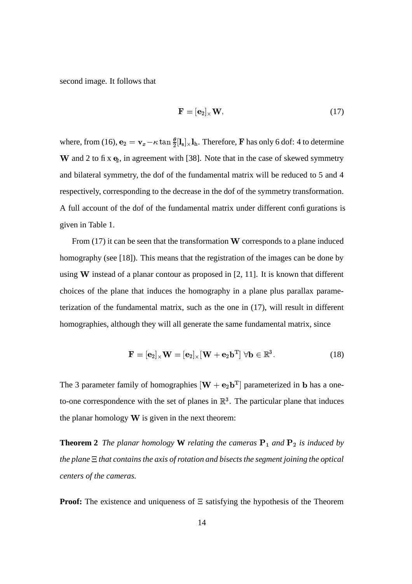second image. It follows that

$$
\mathbf{F} = [\mathbf{e}_2] \times \mathbf{W},\tag{17}
$$

where, from (16),  $e_2 = v_x - \kappa \tan \frac{\theta}{2} [I_s]_{\times} I_h$ . Therefore, **F** has only 6 dof: 4 to determine W and 2 to fix  $\mathbf{e}_2$ , in agreement with [38]. Note that in the case of skewed symmetry and bilateral symmetry, the dof of the fundamental matrix will be reduced to 5 and 4 respectively, corresponding to the decrease in the dof of the symmetry transformation. A full account of the dof of the fundamental matrix under different configurations is given in Table 1.

From (17) it can be seen that the transformation  $W$  corresponds to a plane induced homography (see [18]). This means that the registration of the images can be done by using W instead of a planar contour as proposed in  $[2, 11]$ . It is known that different choices of the plane that induces the homography in a plane plus parallax parameterization of the fundamental matrix, such as the one in (17), will result in different homographies, although they will all generate the same fundamental matrix, since

$$
\mathbf{F} = [\mathbf{e}_2]_{\times} \mathbf{W} = [\mathbf{e}_2]_{\times} [\mathbf{W} + \mathbf{e}_2 \mathbf{b}^{\mathrm{T}}] \ \forall \mathbf{b} \in \mathbb{R}^3.
$$
 (18)

The 3 parameter family of homographies  $[\mathbf{W} + \mathbf{e}_2 \mathbf{b}^{\mathrm{T}}]$  parameterized in **b** has a oneto-one correspondence with the set of planes in  $\mathbb{R}^3$ . The particular plane that induces the planar homology  $W$  is given in the next theorem:

**Theorem 2** The planar homology **W** relating the cameras  $P_1$  and  $P_2$  is induced by *the* plane  $\Xi$  *that contains the axis of rotation and bisects the segment joining the optical centers of the cameras.*

**Proof:** The existence and uniqueness of  $\Xi$  satisfying the hypothesis of the Theorem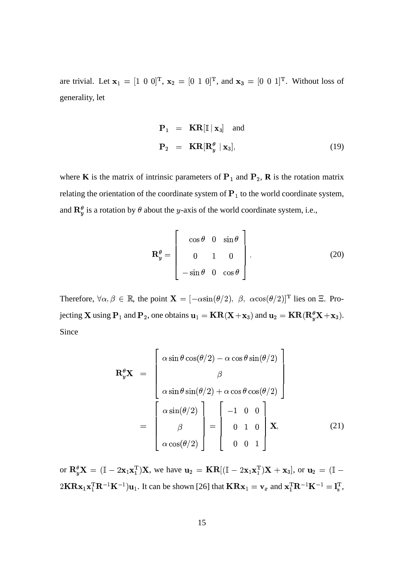are trivial. Let  $\mathbf{x}_1 = \begin{bmatrix} 1 & 0 & 0 \end{bmatrix}^T$ ,  $\mathbf{x}_2 = \begin{bmatrix} 0 & 1 & 0 \end{bmatrix}^T$ , and  $\mathbf{x}_3 = \begin{bmatrix} 0 & 0 & 1 \end{bmatrix}^T$ . Without loss of generality, let

$$
\mathbf{P}_1 = \mathbf{K} \mathbf{R} [\mathbb{I} | \mathbf{x}_3] \text{ and}
$$
  

$$
\mathbf{P}_2 = \mathbf{K} \mathbf{R} [\mathbf{R}_y^{\theta} | \mathbf{x}_3], \tag{19}
$$

where **K** is the matrix of intrinsic parameters of  $P_1$  and  $P_2$ , **R** is the rotation matrix relating the orientation of the coordinate system of  $P_1$  to the world coordinate system, and  $\mathbf{R}_{u}^{\theta}$  is a rotation by  $\theta$  about the y-axis of the world coordinate system, i.e.,

$$
\mathbf{R}_{y}^{\theta} = \begin{bmatrix} \cos \theta & 0 & \sin \theta \\ 0 & 1 & 0 \\ -\sin \theta & 0 & \cos \theta \end{bmatrix}.
$$
 (20)

Therefore,  $\forall \alpha, \beta \in \mathbb{R}$ , the point  $\mathbf{X} = [-\alpha \sin(\theta/2), \beta, \alpha \cos(\theta/2)]^T$  lies on  $\Xi$ . Projecting  ${\bf X}$  using  ${\bf P}_1$  and  ${\bf P}_2$ , one obtains  ${\bf u}_1 = {\bf K} {\bf R}({\bf X}+{\bf x}_3)$  and  ${\bf u}_2 = {\bf K} {\bf R}({\bf R}_y^{\theta} {\bf X}+{\bf x}_3).$ Since

 $\sim$   $\sim$ 

$$
\mathbf{R}_{y}^{\theta} \mathbf{X} = \begin{bmatrix} \alpha \sin \theta \cos(\theta/2) - \alpha \cos \theta \sin(\theta/2) \\ \beta \\ \alpha \sin \theta \sin(\theta/2) + \alpha \cos \theta \cos(\theta/2) \end{bmatrix}
$$

$$
= \begin{bmatrix} \alpha \sin(\theta/2) \\ \beta \\ \alpha \cos(\theta/2) \end{bmatrix} = \begin{bmatrix} -1 & 0 & 0 \\ 0 & 1 & 0 \\ 0 & 0 & 1 \end{bmatrix} \mathbf{X}, \qquad (21)
$$

or  $\mathbf{R}_{y}^{\theta} \mathbf{X} = (\mathbb{I} - 2\mathbf{x}_1 \mathbf{x}_1^{\mathrm{T}}) \mathbf{X}$ , we have  $\mathbf{u}_2 = \mathbf{K} \mathbf{R} [(\mathbb{I} - 2\mathbf{x}_1 \mathbf{x}_1^{\mathrm{T}}) \mathbf{X} + \mathbf{x}_3]$ , or  $\mathbf{u}_2 = (\mathbb{I} - 1)\mathbf{x}_1$  $2KRx_1x_1^{\mathrm{T}}R^{-1}K^{-1})u_1$ . It can be shown [26] that  $KRx_1 = v_x$  and  $x_1^{\mathrm{T}}R^{-1}K^{-1} = I_s^{\mathrm{T}}$ ,  $\mathbf{l}_{\mathrm{s}}^{\mathrm{T}},$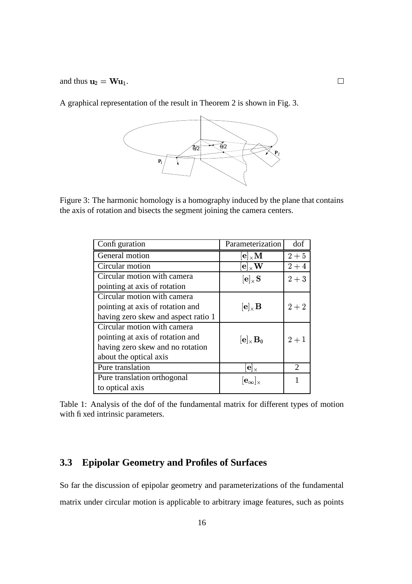and thus  $\mathbf{u}_2 = \mathbf{W} \mathbf{u}_1$ .

A graphical representation of the result in Theorem 2 is shown in Fig. 3.



Figure 3: The harmonic homology is a homography induced by the plane that contains the axis of rotation and bisects the segment joining the camera centers.

| Confi guration                      | Parameterization                     | dof                         |  |
|-------------------------------------|--------------------------------------|-----------------------------|--|
| General motion                      | $\left[\mathbf{e}\right]_{\times}$ M | $2+5$                       |  |
| Circular motion                     | $[\mathbf{e}]_\times \mathbf{W}$     | $2 + 4$                     |  |
| Circular motion with camera         | $[\mathbf{e}]_\times\mathbf{S}$      | $2 + 3$                     |  |
| pointing at axis of rotation        |                                      |                             |  |
| Circular motion with camera         |                                      |                             |  |
| pointing at axis of rotation and    | $[\mathbf{e}]_{\times} \mathbf{B}$   | $2 + 2$                     |  |
| having zero skew and aspect ratio 1 |                                      |                             |  |
| Circular motion with camera         |                                      |                             |  |
| pointing at axis of rotation and    | $[\mathbf{e}]_\times\mathbf{B}_0$    | $2 + 1$                     |  |
| having zero skew and no rotation    |                                      |                             |  |
| about the optical axis              |                                      |                             |  |
| Pure translation                    | $[\mathbf{e}]_\times$                | $\mathcal{D}_{\mathcal{L}}$ |  |
| Pure translation orthogonal         | $[\mathbf{e}_\infty]_\times$         |                             |  |
| to optical axis                     |                                      |                             |  |

Table 1: Analysis of the dof of the fundamental matrix for different types of motion with fixed intrinsic parameters.

## **3.3 Epipolar Geometry and Profiles of Surfaces**

So far the discussion of epipolar geometry and parameterizations of the fundamental matrix under circular motion is applicable to arbitrary image features, such as points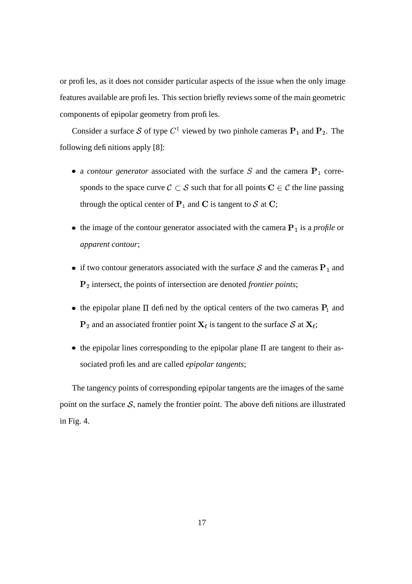or profiles, as it does not consider particular aspects of the issue when the only image features available are profiles. This section briefly reviews some of the main geometric components of epipolar geometry from profiles.

Consider a surface S of type  $C^1$  viewed by two pinhole cameras  $P_1$  and  $P_2$ . The following definitions apply [8]:

- a *contour* generator associated with the surface S and the camera  $P_1$  corresponds to the space curve  $\mathcal{C} \subset \mathcal{S}$  such that for all points  $\mathbf{C} \in \mathcal{C}$  the line passing through the optical center of  $P_1$  and C is tangent to S at C;
- $\bullet$  the image of the contour generator associated with the camera  $P_1$  is a *profile* or *apparent contour*;
- if two contour generators associated with the surface  $S$  and the cameras  $P_1$  and intersect, the points of intersection are denoted *frontier points*;
- the epipolar plane  $\Pi$  defined by the optical centers of the two cameras  $P_1$  and  $P_2$  and an associated frontier point  $X_f$  is tangent to the surface S at  $X_f$ ;
- $\bullet$  the epipolar lines corresponding to the epipolar plane  $\Pi$  are tangent to their associated profiles and are called *epipolar tangents*;

The tangency points of corresponding epipolar tangents are the images of the same point on the surface  $S$ , namely the frontier point. The above definitions are illustrated in Fig. 4.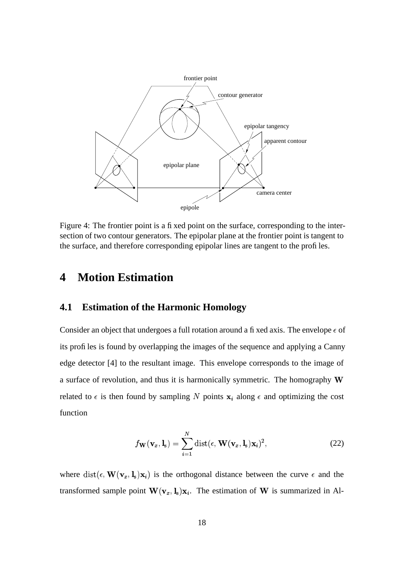

Figure 4: The frontier point is a fixed point on the surface, corresponding to the intersection of two contour generators. The epipolar plane at the frontier point is tangent to the surface, and therefore corresponding epipolar lines are tangent to the profiles.

## **4 Motion Estimation**

#### **4.1 Estimation of the Harmonic Homology**

Consider an object that undergoes a full rotation around a fixed axis. The envelope  $\epsilon$  of its profiles is found by overlapping the images of the sequence and applying a Canny edge detector [4] to the resultant image. This envelope corresponds to the image of a surface of revolution, and thus it is harmonically symmetric. The homography W related to  $\epsilon$  is then found by sampling N points  $x_i$  along  $\epsilon$  and optimizing the cost function

$$
f_{\mathbf{W}}(\mathbf{v}_x, \mathbf{l}_s) = \sum_{i=1}^N \text{dist}(\epsilon, \mathbf{W}(\mathbf{v}_x, \mathbf{l}_s) \mathbf{x}_i)^2, \qquad (22)
$$

where  $dist(\epsilon, \mathbf{W}(\mathbf{v}_x, \mathbf{l}_s)\mathbf{x}_i)$  is the orthogonal distance between the curve  $\epsilon$  and the transformed sample point  $W(\mathbf{v}_x, \mathbf{l}_s) \mathbf{x}_i$ . The estimation of W is summarized in Al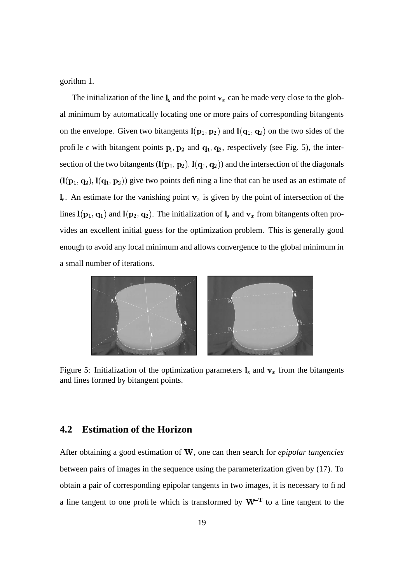gorithm 1.

The initialization of the line  $\mathbf{l}_s$  and the point  $\mathbf{v}_x$  can be made very close to the global minimum by automatically locating one or more pairs of corresponding bitangents on the envelope. Given two bitangents  $\mathbf{l}(\mathbf{p}_1, \mathbf{p}_2)$  and  $\mathbf{l}(\mathbf{q}_1, \mathbf{q}_2)$  on the two sides of the profile  $\epsilon$  with bitangent points  $\mathbf{p}_1, \mathbf{p}_2$  and  $\mathbf{q}_1, \mathbf{q}_2$ , respectively (see Fig. 5), the intersection of the two bitangents  $(l(\mathbf{p}_1, \mathbf{p}_2), l(\mathbf{q}_1, \mathbf{q}_2))$  and the intersection of the diagonals  $(l(\mathbf{p}_1, \mathbf{q}_2), l(\mathbf{q}_1, \mathbf{p}_2))$  give two points defining a line that can be used as an estimate of  $\mathbf{l}_s$ . An estimate for the vanishing point  $\mathbf{v}_x$  is given by the point of intersection of the lines  $\mathbf{l}(\mathbf{p}_1, \mathbf{q}_1)$  and  $\mathbf{l}(\mathbf{p}_2, \mathbf{q}_2)$ . The initialization of  $\mathbf{l}_s$  and  $\mathbf{v}_x$  from bitangents often provides an excellent initial guess for the optimization problem. This is generally good enough to avoid any local minimum and allows convergence to the global minimum in a small number of iterations.



Figure 5: Initialization of the optimization parameters  $\mathbf{l}_s$  and  $\mathbf{v}_x$  from the bitangents and lines formed by bitangent points.

#### **4.2 Estimation of the Horizon**

After obtaining a good estimation of W, one can then search for *epipolar tangencies* between pairs of images in the sequence using the parameterization given by (17). To obtain a pair of corresponding epipolar tangents in two images, it is necessary to find a line tangent to one profile which is transformed by  $W^{-T}$  to a line tangent to the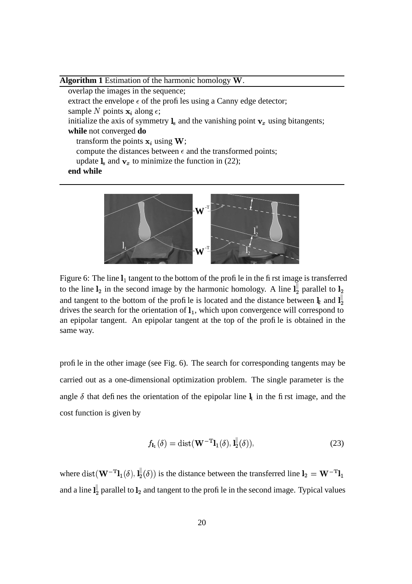| <b>Algorithm 1</b> Estimation of the harmonic homology $W$ .                          |
|---------------------------------------------------------------------------------------|
| overlap the images in the sequence;                                                   |
| extract the envelope $\epsilon$ of the profiles using a Canny edge detector;          |
| sample N points $x_i$ along $\epsilon$ ;                                              |
| initialize the axis of symmetry $l_s$ and the vanishing point $v_x$ using bitangents; |
| while not converged do                                                                |
| transform the points $x_i$ using $W$ ;                                                |
| compute the distances between $\epsilon$ and the transformed points;                  |
| update $\mathbf{l}_s$ and $\mathbf{v}_x$ to minimize the function in (22);            |
| end while                                                                             |
|                                                                                       |



Figure 6: The line  $l_1$  tangent to the bottom of the profile in the first image is transferred to the line  $l_2$  in the second image by the harmonic homology. A line  $l_2^{\parallel}$  parallel to  $l_2$ and tangent to the bottom of the profile is located and the distance between  $\mathbf{l}_2$  and  $\mathbf{l}_2^{\parallel}$ drives the search for the orientation of  $l_1$ , which upon convergence will correspond to an epipolar tangent. An epipolar tangent at the top of the profile is obtained in the same way.

profile in the other image (see Fig. 6). The search for corresponding tangents may be carried out as a one-dimensional optimization problem. The single parameter is the angle  $\delta$  that defines the orientation of the epipolar line  $\bf{l}$  in the first image, and the cost function is given by

$$
f_{\mathbf{l}_1}(\delta) = \text{dist}(\mathbf{W}^{-T}\mathbf{l}_1(\delta), \mathbf{l}_2^{\parallel}(\delta)),\tag{23}
$$

where  $dist(\mathbf{W}^{-T}\mathbf{l}_1(\delta), \mathbf{l}_2^{\parallel}(\delta))$  is the distance between the transferred line  $\mathbf{l}_2 = \mathbf{W}^{-T}\mathbf{l}_1$ and a line  $\mathbf{l}_2^{\parallel}$  parallel to  $\mathbf{l}_2$  and tangent to the profile in the second image. Typical values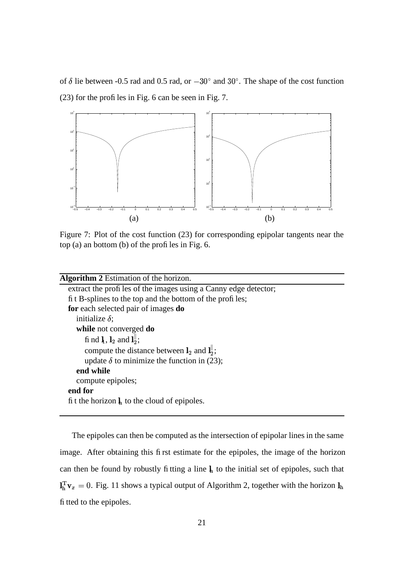of  $\delta$  lie between -0.5 rad and 0.5 rad, or  $-30^{\circ}$  and  $30^{\circ}$ . The shape of the cost function (23) for the profiles in Fig. 6 can be seen in Fig. 7.



Figure 7: Plot of the cost function (23) for corresponding epipolar tangents near the top (a) an bottom (b) of the profiles in Fig. 6.

The epipoles can then be computed as the intersection of epipolar lines in the same image. After obtaining this first estimate for the epipoles, the image of the horizon can then be found by robustly fitting a line  $I<sub>h</sub>$  to the initial set of epipoles, such that  ${\bf l}^{\rm T}_{\rm h} {\bf v}_x = 0$ . Fig. 11 shows a typical output of Algorithm 2, together with the horizon  ${\bf l}_{\rm h}$ fitted to the epipoles.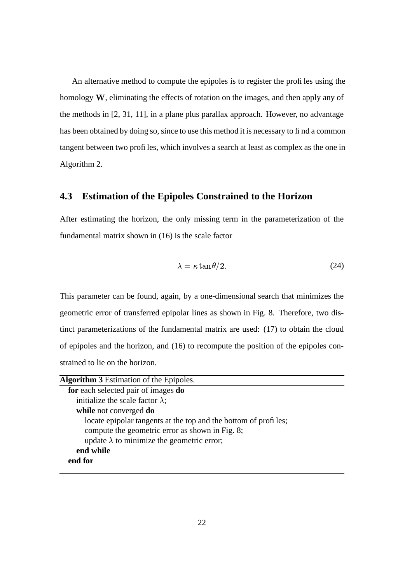An alternative method to compute the epipoles is to register the profiles using the homology  $W$ , eliminating the effects of rotation on the images, and then apply any of the methods in [2, 31, 11], in a plane plus parallax approach. However, no advantage has been obtained by doing so, since to use this method it is necessary to find a common tangent between two profiles, which involves a search at least as complex as the one in Algorithm 2.

## **4.3 Estimation of the Epipoles Constrained to the Horizon**

After estimating the horizon, the only missing term in the parameterization of the fundamental matrix shown in (16) is the scale factor

$$
\lambda = \kappa \tan \theta / 2. \tag{24}
$$

This parameter can be found, again, by a one-dimensional search that minimizes the geometric error of transferred epipolar lines as shown in Fig. 8. Therefore, two distinct parameterizations of the fundamental matrix are used: (17) to obtain the cloud of epipoles and the horizon, and (16) to recompute the position of the epipoles constrained to lie on the horizon.

| <b>Algorithm 3</b> Estimation of the Epipoles.                  |  |
|-----------------------------------------------------------------|--|
| for each selected pair of images do                             |  |
| initialize the scale factor $\lambda$ ;                         |  |
| while not converged do                                          |  |
| locate epipolar tangents at the top and the bottom of profiles; |  |
| compute the geometric error as shown in Fig. 8;                 |  |
| update $\lambda$ to minimize the geometric error;               |  |
| end while                                                       |  |
| end for                                                         |  |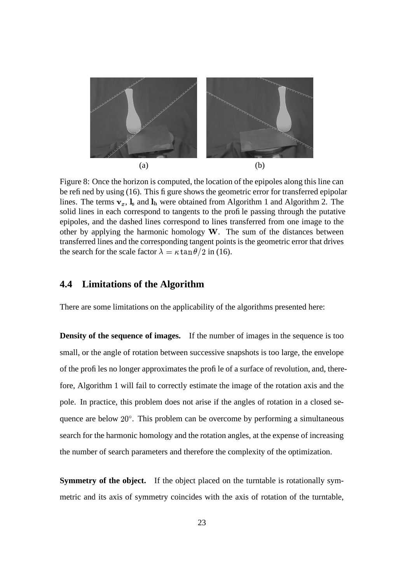

Figure 8: Once the horizon is computed, the location of the epipoles along this line can be refined by using (16). This figure shows the geometric error for transferred epipolar lines. The terms  $v_x$ ,  $l_s$  and  $l_h$  were obtained from Algorithm 1 and Algorithm 2. The solid lines in each correspond to tangents to the profile passing through the putative epipoles, and the dashed lines correspond to lines transferred from one image to the other by applying the harmonic homology  $W$ . The sum of the distances between transferred lines and the corresponding tangent points is the geometric error that drives the search for the scale factor  $\lambda = \kappa \tan \theta / 2$  in (16).

#### **4.4 Limitations of the Algorithm**

There are some limitations on the applicability of the algorithms presented here:

**Density** of the sequence of **images.** If the number of images in the sequence is too small, or the angle of rotation between successive snapshots is too large, the envelope of the profiles no longer approximates the profile of a surface of revolution, and, therefore, Algorithm 1 will fail to correctly estimate the image of the rotation axis and the pole. In practice, this problem does not arise if the angles of rotation in a closed sequence are below  $20^{\circ}$ . This problem can be overcome by performing a simultaneous search for the harmonic homology and the rotation angles, at the expense of increasing the number of search parameters and therefore the complexity of the optimization.

**Symmetry of the object.** If the object placed on the turntable is rotationally symmetric and its axis of symmetry coincides with the axis of rotation of the turntable,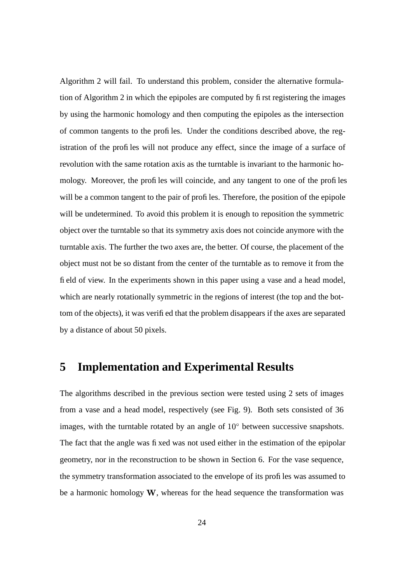Algorithm 2 will fail. To understand this problem, consider the alternative formulation of Algorithm 2 in which the epipoles are computed by first registering the images by using the harmonic homology and then computing the epipoles as the intersection of common tangents to the profiles. Under the conditions described above, the registration of the profiles will not produce any effect, since the image of a surface of revolution with the same rotation axis as the turntable is invariant to the harmonic homology. Moreover, the profiles will coincide, and any tangent to one of the profiles will be a common tangent to the pair of profiles. Therefore, the position of the epipole will be undetermined. To avoid this problem it is enough to reposition the symmetric object over the turntable so that its symmetry axis does not coincide anymore with the turntable axis. The further the two axes are, the better. Of course, the placement of the object must not be so distant from the center of the turntable as to remove it from the field of view. In the experiments shown in this paper using a vase and a head model, which are nearly rotationally symmetric in the regions of interest (the top and the bottom of the objects), it was verified that the problem disappears if the axes are separated by a distance of about 50 pixels.

## **5 Implementation and Experimental Results**

The algorithms described in the previous section were tested using 2 sets of images from a vase and a head model, respectively (see Fig. 9). Both sets consisted of 36 images, with the turntable rotated by an angle of  $10^{\circ}$  between successive snapshots. The fact that the angle was fixed was not used either in the estimation of the epipolar geometry, nor in the reconstruction to be shown in Section 6. For the vase sequence, the symmetry transformation associated to the envelope of its profiles was assumed to be a harmonic homology  $W$ , whereas for the head sequence the transformation was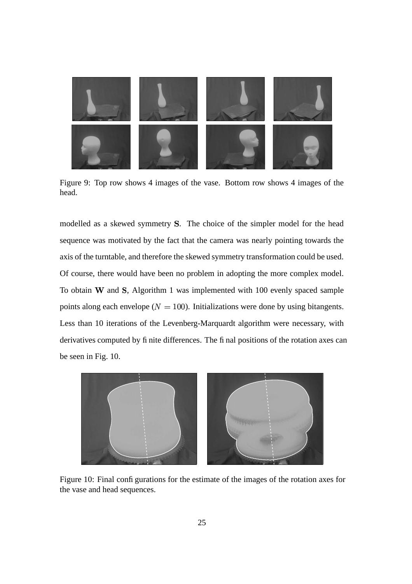

Figure 9: Top row shows 4 images of the vase. Bottom row shows 4 images of the head.

modelled as a skewed symmetry S. The choice of the simpler model for the head sequence was motivated by the fact that the camera was nearly pointing towards the axis of the turntable, and therefore the skewed symmetry transformation could be used. Of course, there would have been no problem in adopting the more complex model. To obtain  $W$  and  $S$ , Algorithm 1 was implemented with 100 evenly spaced sample points along each envelope ( $N = 100$ ). Initializations were done by using bitangents. Less than 10 iterations of the Levenberg-Marquardt algorithm were necessary, with derivatives computed by finite differences. The final positions of the rotation axes can be seen in Fig. 10.



Figure 10: Final configurations for the estimate of the images of the rotation axes for the vase and head sequences.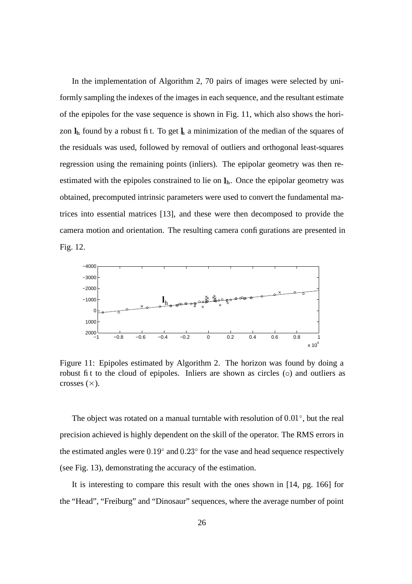In the implementation of Algorithm 2, 70 pairs of images were selected by uniformly sampling the indexes of the images in each sequence, and the resultant estimate of the epipoles for the vase sequence is shown in Fig. 11, which also shows the horizon  $l<sub>h</sub>$  found by a robust fit. To get  $l<sub>h</sub>$  a minimization of the median of the squares of the residuals was used, followed by removal of outliers and orthogonal least-squares regression using the remaining points (inliers). The epipolar geometry was then reestimated with the epipoles constrained to lie on  $\mathbf{l}_h$ . Once the epipolar geometry was obtained, precomputed intrinsic parameters were used to convert the fundamental matrices into essential matrices [13], and these were then decomposed to provide the camera motion and orientation. The resulting camera configurations are presented in Fig. 12.



Figure 11: Epipoles estimated by Algorithm 2. The horizon was found by doing a robust fit to the cloud of epipoles. In liers are shown as circles  $\circ$  and outliers as crosses  $(\times)$ .

The object was rotated on a manual turntable with resolution of  $0.01^{\circ}$ , but the real precision achieved is highly dependent on the skill of the operator. The RMS errors in the estimated angles were  $0.19^{\circ}$  and  $0.23^{\circ}$  for the vase and head sequence respectively (see Fig. 13), demonstrating the accuracy of the estimation.

It is interesting to compare this result with the ones shown in [14, pg. 166] for the "Head", "Freiburg" and "Dinosaur" sequences, where the average number of point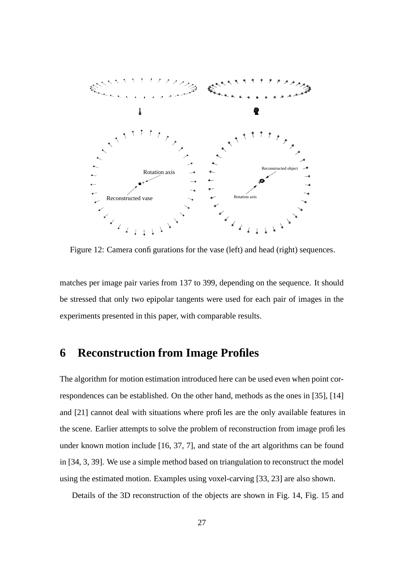

Figure 12: Camera configurations for the vase (left) and head (right) sequences.

matches per image pair varies from 137 to 399, depending on the sequence. It should be stressed that only two epipolar tangents were used for each pair of images in the experiments presented in this paper, with comparable results.

## **6 Reconstruction from Image Profiles**

The algorithm for motion estimation introduced here can be used even when point correspondences can be established. On the other hand, methods as the ones in [35], [14] and [21] cannot deal with situations where profiles are the only available features in the scene. Earlier attempts to solve the problem of reconstruction from image profiles under known motion include [16, 37, 7], and state of the art algorithms can be found in [34, 3, 39]. We use a simple method based on triangulation to reconstruct the model using the estimated motion. Examples using voxel-carving [33, 23] are also shown.

Details of the 3D reconstruction of the objects are shown in Fig. 14, Fig. 15 and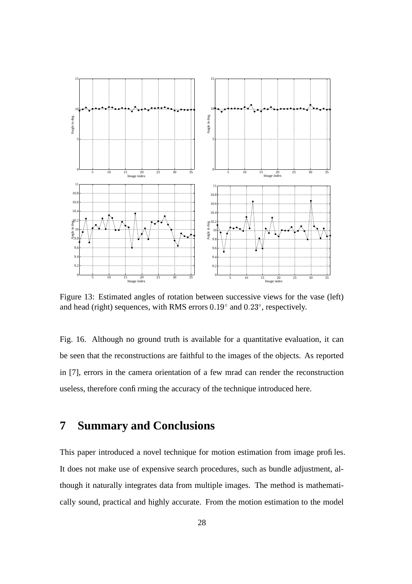

Figure 13: Estimated angles of rotation between successive views for the vase (left) and head (right) sequences, with RMS errors  $0.19^{\circ}$  and  $0.23^{\circ}$ , respectively.

Fig. 16. Although no ground truth is available for a quantitative evaluation, it can be seen that the reconstructions are faithful to the images of the objects. As reported in [7], errors in the camera orientation of a few mrad can render the reconstruction useless, therefore confirming the accuracy of the technique introduced here.

# **7 Summary and Conclusions**

This paper introduced a novel technique for motion estimation from image profiles. It does not make use of expensive search procedures, such as bundle adjustment, although it naturally integrates data from multiple images. The method is mathematically sound, practical and highly accurate. From the motion estimation to the model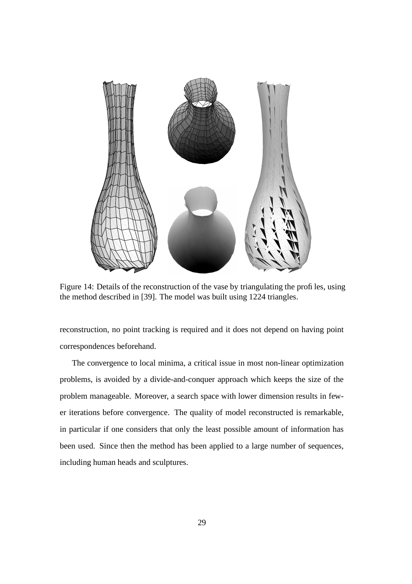

Figure 14: Details of the reconstruction of the vase by triangulating the profiles, using the method described in [39]. The model was built using 1224 triangles.

reconstruction, no point tracking is required and it does not depend on having point correspondences beforehand.

The convergence to local minima, a critical issue in most non-linear optimization problems, is avoided by a divide-and-conquer approach which keeps the size of the problem manageable. Moreover, a search space with lower dimension results in fewer iterations before convergence. The quality of model reconstructed is remarkable, in particular if one considers that only the least possible amount of information has been used. Since then the method has been applied to a large number of sequences, including human heads and sculptures.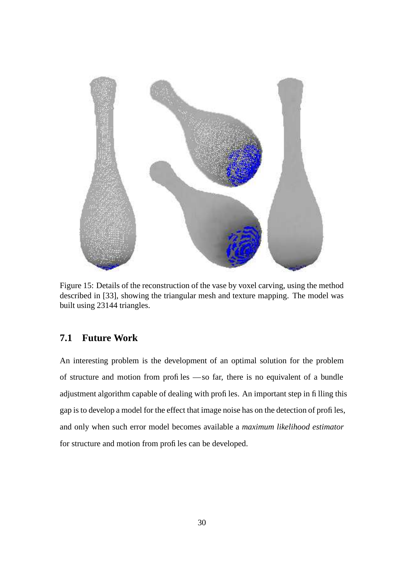

Figure 15: Details of the reconstruction of the vase by voxel carving, using the method described in [33], showing the triangular mesh and texture mapping. The model was built using 23144 triangles.

## **7.1 Future Work**

An interesting problem is the development of an optimal solution for the problem of structure and motion from profiles — so far, there is no equivalent of a bundle adjustment algorithm capable of dealing with profiles. An important step in filling this gap isto develop a model for the effect that image noise has on the detection of profiles, and only when such error model becomes available a *maximum likelihood estimator* for structure and motion from profiles can be developed.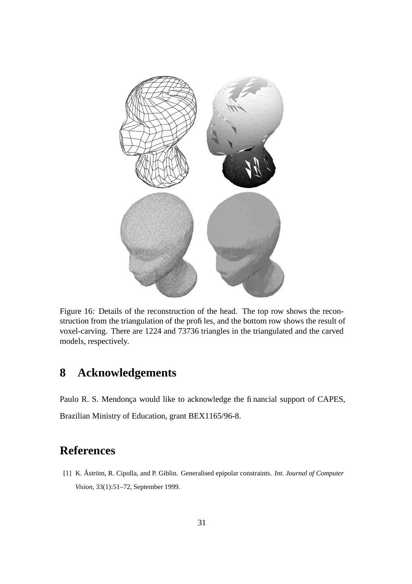

Figure 16: Details of the reconstruction of the head. The top row shows the reconstruction from the triangulation of the profiles, and the bottom row shows the result of voxel-carving. There are 1224 and 73736 triangles in the triangulated and the carved models, respectively.

# **8 Acknowledgements**

Paulo R. S. Mendonça would like to acknowledge the financial support of CAPES, Brazilian Ministry of Education, grant BEX1165/96-8.

# **References**

[1] K. Åström, R. Cipolla, and P. Giblin. Generalised epipolar constraints. *Int. Journal of Computer Vision*, 33(1):51–72, September 1999.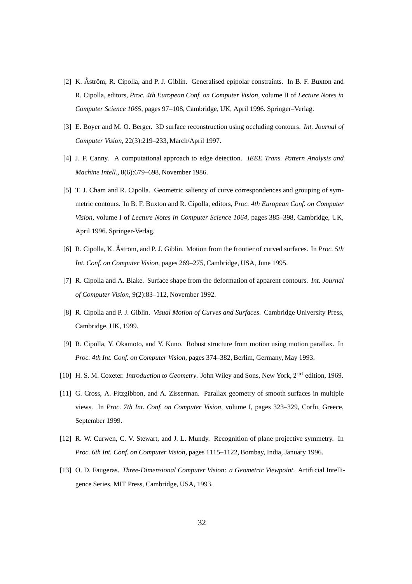- [2] K. Åström, R. Cipolla, and P. J. Giblin. Generalised epipolar constraints. In B. F. Buxton and R. Cipolla, editors, *Proc. 4th European Conf. on Computer Vision*, volume II of *Lecture Notes in Computer Science 1065*, pages 97–108, Cambridge, UK, April 1996. Springer–Verlag.
- [3] E. Boyer and M. O. Berger. 3D surface reconstruction using occluding contours. *Int. Journal of Computer Vision*, 22(3):219–233, March/April 1997.
- [4] J. F. Canny. A computational approach to edge detection. *IEEE Trans. Pattern Analysis and Machine Intell.*, 8(6):679–698, November 1986.
- [5] T. J. Cham and R. Cipolla. Geometric saliency of curve correspondences and grouping of symmetric contours. In B. F. Buxton and R. Cipolla, editors, *Proc. 4th European Conf. on Computer Vision*, volume I of *Lecture Notes in Computer Science 1064*, pages 385–398, Cambridge, UK, April 1996. Springer-Verlag.
- [6] R. Cipolla, K. Aström, and P. J. Giblin. Motion from the frontier of curved surfaces. In *Proc. 5th Int. Conf. on Computer Vision*, pages 269–275, Cambridge, USA, June 1995.
- [7] R. Cipolla and A. Blake. Surface shape from the deformation of apparent contours. *Int. Journal of Computer Vision*, 9(2):83–112, November 1992.
- [8] R. Cipolla and P. J. Giblin. *Visual Motion of Curves and Surfaces*. Cambridge University Press, Cambridge, UK, 1999.
- [9] R. Cipolla, Y. Okamoto, and Y. Kuno. Robust structure from motion using motion parallax. In *Proc. 4th Int. Conf. on Computer Vision*, pages 374–382, Berlim, Germany, May 1993.
- [10] H. S. M. Coxeter. *Introduction to Geometry*. John Wiley and Sons, New York, 2<sup>nd</sup> edition <sup>d</sup> edition, 1969.
- [11] G. Cross, A. Fitzgibbon, and A. Zisserman. Parallax geometry of smooth surfaces in multiple views. In *Proc. 7th Int. Conf. on Computer Vision*, volume I, pages 323–329, Corfu, Greece, September 1999.
- [12] R. W. Curwen, C. V. Stewart, and J. L. Mundy. Recognition of plane projective symmetry. In *Proc. 6th Int. Conf. on Computer Vision*, pages 1115–1122, Bombay, India, January 1996.
- [13] O. D. Faugeras. *Three-Dimensional Computer Vision: a Geometric Viewpoint*. Artificial Intelligence Series. MIT Press, Cambridge, USA, 1993.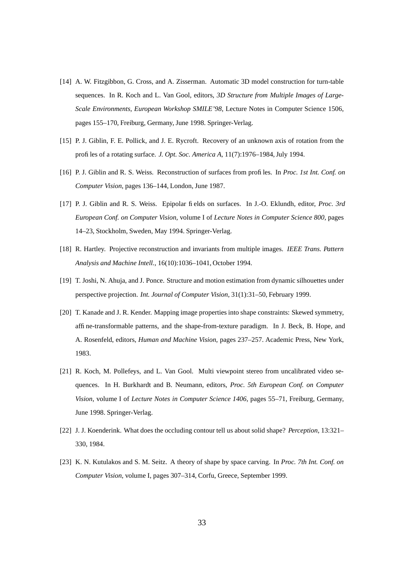- [14] A. W. Fitzgibbon, G. Cross, and A. Zisserman. Automatic 3D model construction for turn-table sequences. In R. Koch and L. Van Gool, editors, *3D Structure from Multiple Images of Large-Scale Environments, European Workshop SMILE'98*, Lecture Notes in Computer Science 1506, pages 155–170, Freiburg, Germany, June 1998. Springer-Verlag.
- [15] P. J. Giblin, F. E. Pollick, and J. E. Rycroft. Recovery of an unknown axis of rotation from the profiles of a rotating surface. *J. Opt. Soc. America A*, 11(7):1976–1984,July 1994.
- [16] P. J. Giblin and R. S. Weiss. Reconstruction of surfaces from profiles. In *Proc. 1st Int. Conf. on Computer Vision*, pages 136–144, London, June 1987.
- [17] P. J. Giblin and R. S. Weiss. Epipolar fields on surfaces. In J.-O. Eklundh, editor, *Proc. 3rd European Conf. on Computer Vision*, volume I of *Lecture Notes in Computer Science 800*, pages 14–23, Stockholm, Sweden, May 1994. Springer-Verlag.
- [18] R. Hartley. Projective reconstruction and invariants from multiple images. *IEEE Trans. Pattern Analysis and Machine Intell.*, 16(10):1036–1041, October 1994.
- [19] T. Joshi, N. Ahuja, and J. Ponce. Structure and motion estimation from dynamic silhouettes under perspective projection. *Int. Journal of Computer Vision*, 31(1):31–50, February 1999.
- [20] T. Kanade and J. R. Kender. Mapping image properties into shape constraints: Skewed symmetry, affine-transformable patterns, and the shape-from-texture paradigm. In J. Beck, B. Hope, and A. Rosenfeld, editors, *Human and Machine Vision*, pages 237–257. Academic Press, New York, 1983.
- [21] R. Koch, M. Pollefeys, and L. Van Gool. Multi viewpoint stereo from uncalibrated video sequences. In H. Burkhardt and B. Neumann, editors, *Proc. 5th European Conf. on Computer Vision*, volume I of *Lecture Notes in Computer Science 1406*, pages 55–71, Freiburg, Germany, June 1998. Springer-Verlag.
- [22] J. J. Koenderink. What does the occluding contour tell us about solid shape? *Perception*, 13:321– 330, 1984.
- [23] K. N. Kutulakos and S. M. Seitz. A theory of shape by space carving. In *Proc. 7th Int. Conf. on Computer Vision*, volume I, pages 307–314, Corfu, Greece, September 1999.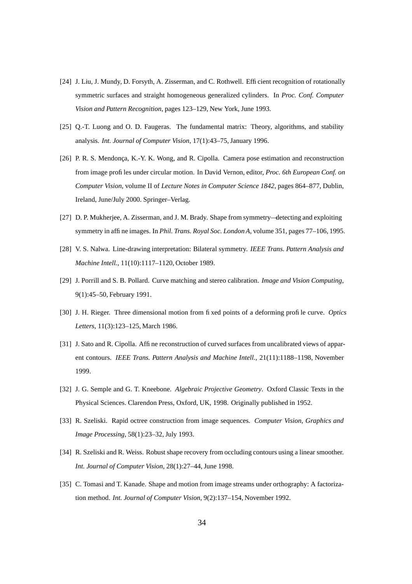- [24] J. Liu, J. Mundy, D. Forsyth, A. Zisserman, and C. Rothwell. Efficient recognition of rotationally symmetric surfaces and straight homogeneous generalized cylinders. In *Proc. Conf. Computer Vision and Pattern Recognition*, pages 123–129, New York, June 1993.
- [25] Q.-T. Luong and O. D. Faugeras. The fundamental matrix: Theory, algorithms, and stability analysis. *Int. Journal of Computer Vision*, 17(1):43–75, January 1996.
- [26] P. R. S. Mendonça, K.-Y. K. Wong, and R. Cipolla. Camera pose estimation and reconstruction from image profiles under circular motion. In David Vernon, editor, *Proc. 6th European Conf. on Computer Vision*, volume II of *Lecture Notes in Computer Science 1842*, pages 864–877, Dublin, Ireland, June/July 2000. Springer–Verlag.
- [27] D. P. Mukherjee, A. Zisserman, and J. M. Brady. Shape from symmetry—detecting and exploiting symmetry in affine images. In *Phil. Trans. Royal Soc. London A*, volume 351, pages 77–106, 1995.
- [28] V. S. Nalwa. Line-drawing interpretation: Bilateral symmetry. *IEEE Trans. Pattern Analysis and Machine Intell.*, 11(10):1117–1120, October 1989.
- [29] J. Porrill and S. B. Pollard. Curve matching and stereo calibration. *Image and Vision Computing*, 9(1):45–50, February 1991.
- [30] J. H. Rieger. Three dimensional motion from fixed points of a deforming profile curve. *Optics Letters*, 11(3):123–125, March 1986.
- [31] J. Sato and R. Cipolla. Affine reconstruction of curved surfaces from uncalibrated views of apparent contours. *IEEE Trans. Pattern Analysis and Machine Intell.*, 21(11):1188–1198, November 1999.
- [32] J. G. Semple and G. T. Kneebone. *Algebraic Projective Geometry*. Oxford Classic Texts in the Physical Sciences. Clarendon Press, Oxford, UK, 1998. Originally published in 1952.
- [33] R. Szeliski. Rapid octree construction from image sequences. *Computer Vision, Graphics and Image Processing*, 58(1):23–32, July 1993.
- [34] R. Szeliski and R. Weiss. Robust shape recovery from occluding contours using a linear smoother. *Int. Journal of Computer Vision*, 28(1):27–44, June 1998.
- [35] C. Tomasi and T. Kanade. Shape and motion from image streams under orthography: A factorization method. *Int. Journal of Computer Vision*, 9(2):137–154, November 1992.